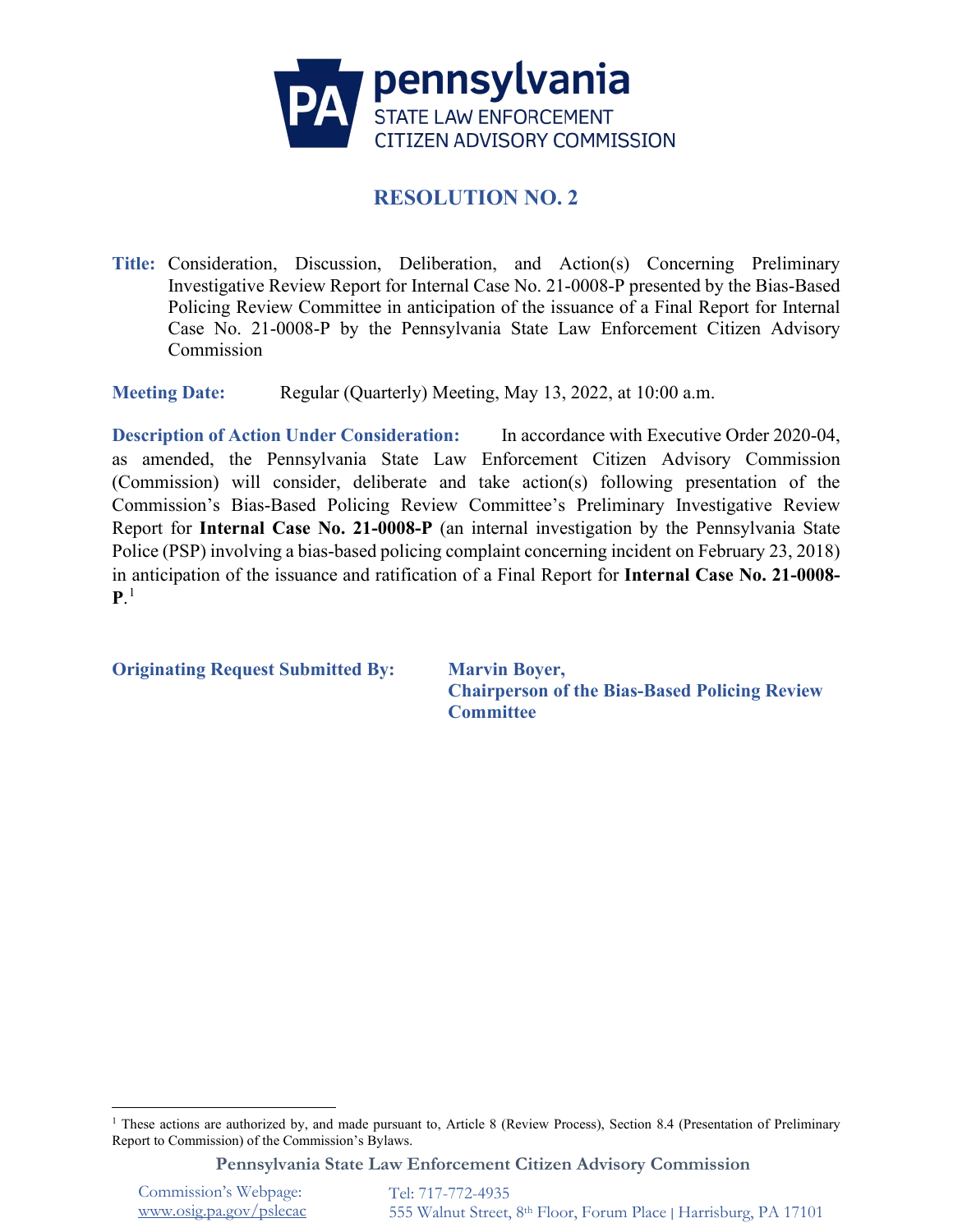

# **RESOLUTION NO. 2**

**Title:** Consideration, Discussion, Deliberation, and Action(s) Concerning Preliminary Investigative Review Report for Internal Case No. 21-0008-P presented by the Bias-Based Policing Review Committee in anticipation of the issuance of a Final Report for Internal Case No. 21-0008-P by the Pennsylvania State Law Enforcement Citizen Advisory Commission

**Meeting Date:** Regular (Quarterly) Meeting, May 13, 2022, at 10:00 a.m.

**Description of Action Under Consideration:** In accordance with Executive Order 2020-04, as amended, the Pennsylvania State Law Enforcement Citizen Advisory Commission (Commission) will consider, deliberate and take action(s) following presentation of the Commission's Bias-Based Policing Review Committee's Preliminary Investigative Review Report for **Internal Case No. 21-0008-P** (an internal investigation by the Pennsylvania State Police (PSP) involving a bias-based policing complaint concerning incident on February 23, 2018) in anticipation of the issuance and ratification of a Final Report for **Internal Case No. 21-0008-**  ${\bf P}^{1}$  ${\bf P}^{1}$  ${\bf P}^{1}$ 

**Originating Request Submitted By: Marvin Boyer,**

**Chairperson of the Bias-Based Policing Review Committee**

**Pennsylvania State Law Enforcement Citizen Advisory Commission**

Commission's Webpage: [www.osig.pa.gov/pslecac](http://www.osig.pa.gov/pslecac) 

<span id="page-0-0"></span><sup>&</sup>lt;sup>1</sup> These actions are authorized by, and made pursuant to, Article 8 (Review Process), Section 8.4 (Presentation of Preliminary Report to Commission) of the Commission's Bylaws.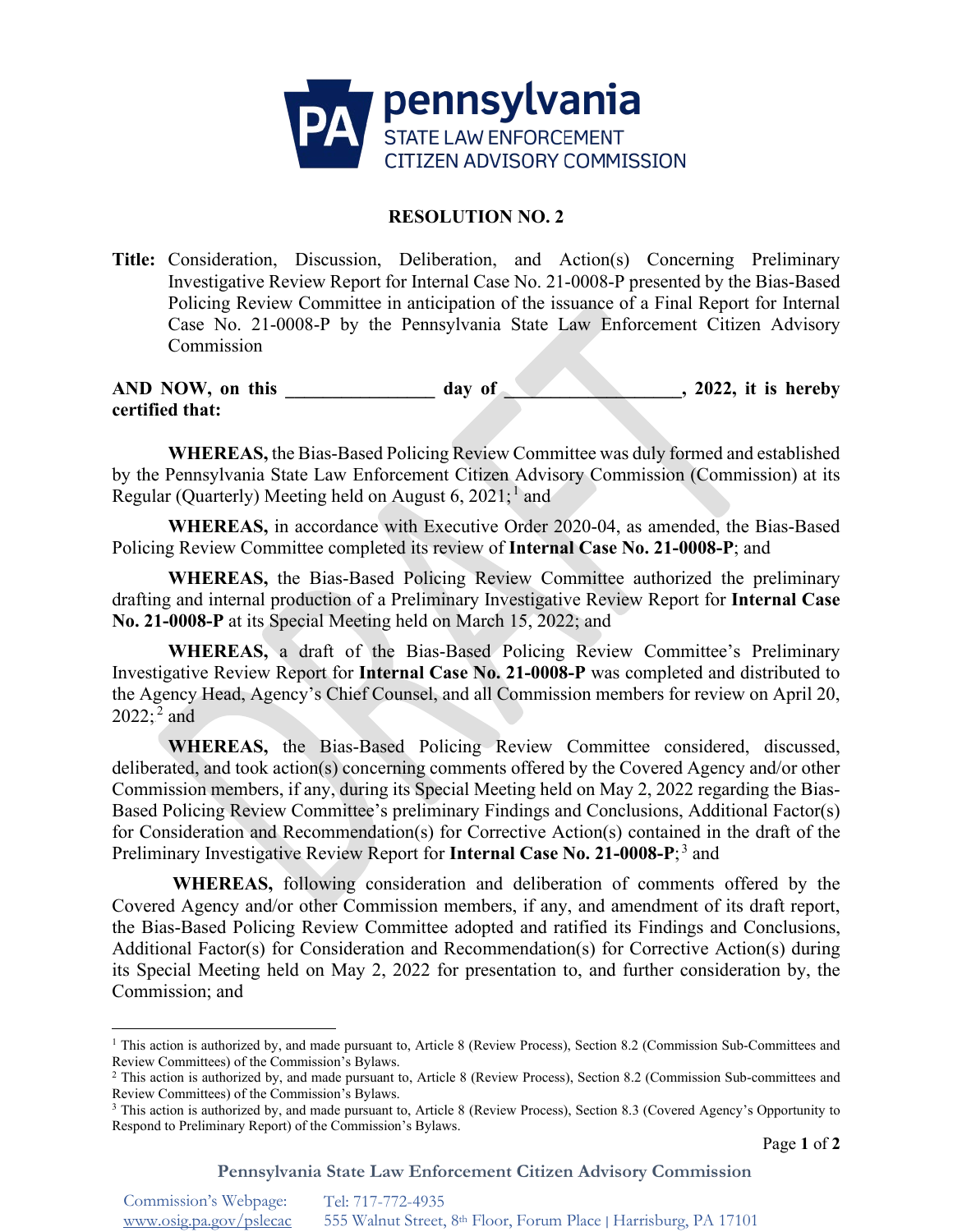

## **RESOLUTION NO. 2**

**Title:** Consideration, Discussion, Deliberation, and Action(s) Concerning Preliminary Investigative Review Report for Internal Case No. 21-0008-P presented by the Bias-Based Policing Review Committee in anticipation of the issuance of a Final Report for Internal Case No. 21-0008-P by the Pennsylvania State Law Enforcement Citizen Advisory Commission

AND NOW, on this day of 3022, it is hereby **certified that:**

**WHEREAS,** the Bias-Based Policing Review Committee was duly formed and established by the Pennsylvania State Law Enforcement Citizen Advisory Commission (Commission) at its Regular (Quarterly) Meeting held on August 6, 202[1](#page-1-0);<sup>1</sup> and

**WHEREAS,** in accordance with Executive Order 2020-04, as amended, the Bias-Based Policing Review Committee completed its review of **Internal Case No. 21-0008-P**; and

**WHEREAS,** the Bias-Based Policing Review Committee authorized the preliminary drafting and internal production of a Preliminary Investigative Review Report for **Internal Case No. 21-0008-P** at its Special Meeting held on March 15, 2022; and

**WHEREAS,** a draft of the Bias-Based Policing Review Committee's Preliminary Investigative Review Report for **Internal Case No. 21-0008-P** was completed and distributed to the Agency Head, Agency's Chief Counsel, and all Commission members for review on April 20,  $2022; ^2$  $2022; ^2$  and

**WHEREAS,** the Bias-Based Policing Review Committee considered, discussed, deliberated, and took action(s) concerning comments offered by the Covered Agency and/or other Commission members, if any, during its Special Meeting held on May 2, 2022 regarding the Bias-Based Policing Review Committee's preliminary Findings and Conclusions, Additional Factor(s) for Consideration and Recommendation(s) for Corrective Action(s) contained in the draft of the Preliminary Investigative Review Report for **Internal Case No. 21-0008-P**; [3](#page-1-2) and

**WHEREAS,** following consideration and deliberation of comments offered by the Covered Agency and/or other Commission members, if any, and amendment of its draft report, the Bias-Based Policing Review Committee adopted and ratified its Findings and Conclusions, Additional Factor(s) for Consideration and Recommendation(s) for Corrective Action(s) during its Special Meeting held on May 2, 2022 for presentation to, and further consideration by, the Commission; and

**Pennsylvania State Law Enforcement Citizen Advisory Commission**

<span id="page-1-0"></span><sup>&</sup>lt;sup>1</sup> This action is authorized by, and made pursuant to, Article 8 (Review Process), Section 8.2 (Commission Sub-Committees and Review Committees) of the Commission's Bylaws.

<span id="page-1-1"></span><sup>&</sup>lt;sup>2</sup> This action is authorized by, and made pursuant to, Article 8 (Review Process), Section 8.2 (Commission Sub-committees and Review Committees) of the Commission's Bylaws.

<span id="page-1-2"></span><sup>&</sup>lt;sup>3</sup> This action is authorized by, and made pursuant to, Article 8 (Review Process), Section 8.3 (Covered Agency's Opportunity to Respond to Preliminary Report) of the Commission's Bylaws.